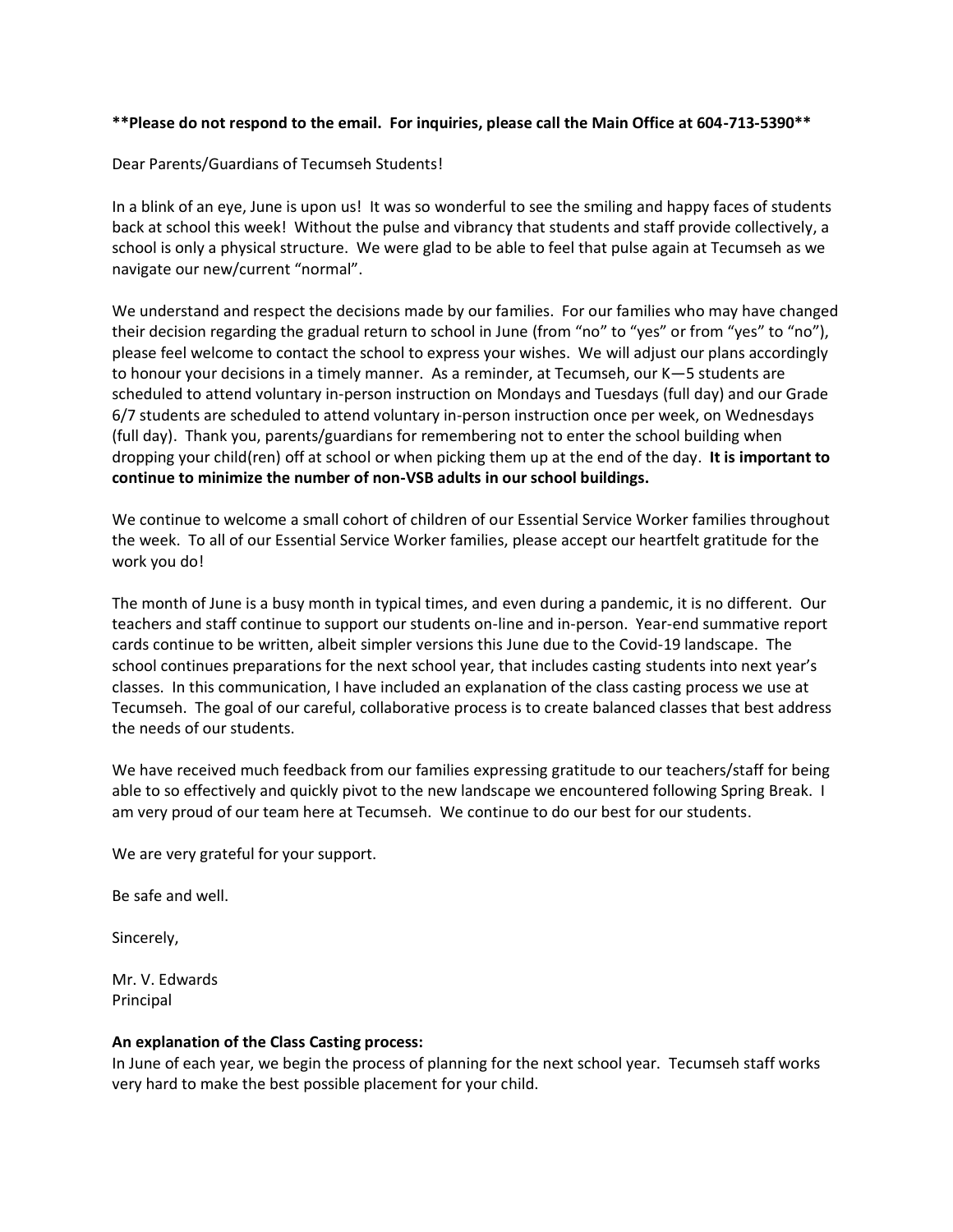#### **\*\*Please do not respond to the email. For inquiries, please call the Main Office at 604-713-5390\*\***

Dear Parents/Guardians of Tecumseh Students!

In a blink of an eye, June is upon us! It was so wonderful to see the smiling and happy faces of students back at school this week! Without the pulse and vibrancy that students and staff provide collectively, a school is only a physical structure. We were glad to be able to feel that pulse again at Tecumseh as we navigate our new/current "normal".

We understand and respect the decisions made by our families. For our families who may have changed their decision regarding the gradual return to school in June (from "no" to "yes" or from "yes" to "no"), please feel welcome to contact the school to express your wishes. We will adjust our plans accordingly to honour your decisions in a timely manner. As a reminder, at Tecumseh, our K—5 students are scheduled to attend voluntary in-person instruction on Mondays and Tuesdays (full day) and our Grade 6/7 students are scheduled to attend voluntary in-person instruction once per week, on Wednesdays (full day). Thank you, parents/guardians for remembering not to enter the school building when dropping your child(ren) off at school or when picking them up at the end of the day. **It is important to continue to minimize the number of non-VSB adults in our school buildings.** 

We continue to welcome a small cohort of children of our Essential Service Worker families throughout the week. To all of our Essential Service Worker families, please accept our heartfelt gratitude for the work you do!

The month of June is a busy month in typical times, and even during a pandemic, it is no different. Our teachers and staff continue to support our students on-line and in-person. Year-end summative report cards continue to be written, albeit simpler versions this June due to the Covid-19 landscape. The school continues preparations for the next school year, that includes casting students into next year's classes. In this communication, I have included an explanation of the class casting process we use at Tecumseh. The goal of our careful, collaborative process is to create balanced classes that best address the needs of our students.

We have received much feedback from our families expressing gratitude to our teachers/staff for being able to so effectively and quickly pivot to the new landscape we encountered following Spring Break. I am very proud of our team here at Tecumseh. We continue to do our best for our students.

We are very grateful for your support.

Be safe and well.

Sincerely,

Mr. V. Edwards Principal

#### **An explanation of the Class Casting process:**

In June of each year, we begin the process of planning for the next school year. Tecumseh staff works very hard to make the best possible placement for your child.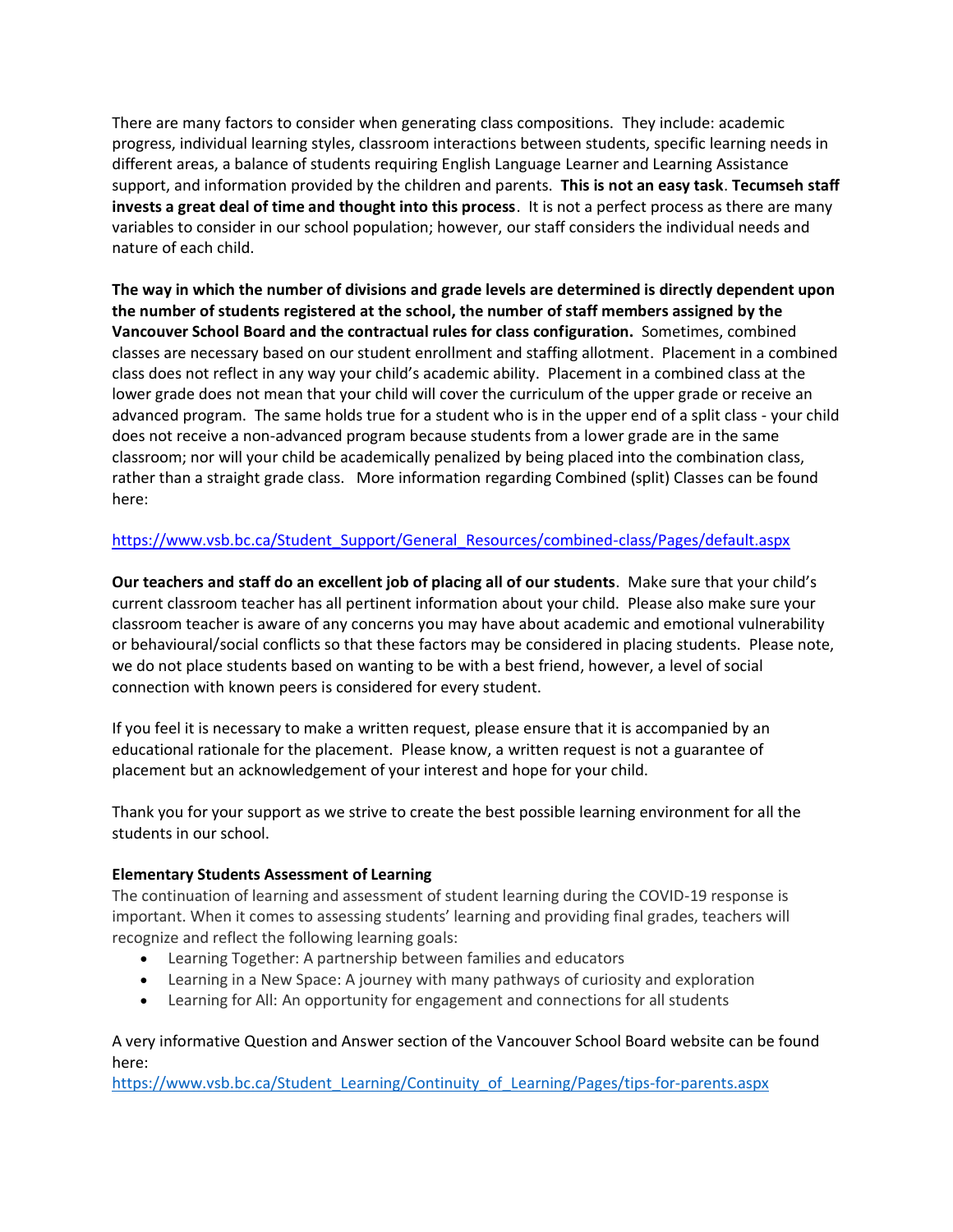There are many factors to consider when generating class compositions. They include: academic progress, individual learning styles, classroom interactions between students, specific learning needs in different areas, a balance of students requiring English Language Learner and Learning Assistance support, and information provided by the children and parents. **This is not an easy task**. **Tecumseh staff invests a great deal of time and thought into this process**. It is not a perfect process as there are many variables to consider in our school population; however, our staff considers the individual needs and nature of each child.

**The way in which the number of divisions and grade levels are determined is directly dependent upon the number of students registered at the school, the number of staff members assigned by the Vancouver School Board and the contractual rules for class configuration.** Sometimes, combined classes are necessary based on our student enrollment and staffing allotment. Placement in a combined class does not reflect in any way your child's academic ability. Placement in a combined class at the lower grade does not mean that your child will cover the curriculum of the upper grade or receive an advanced program. The same holds true for a student who is in the upper end of a split class - your child does not receive a non-advanced program because students from a lower grade are in the same classroom; nor will your child be academically penalized by being placed into the combination class, rather than a straight grade class. More information regarding Combined (split) Classes can be found here:

# [https://www.vsb.bc.ca/Student\\_Support/General\\_Resources/combined-class/Pages/default.aspx](https://www.vsb.bc.ca/Student_Support/General_Resources/combined-class/Pages/default.aspx)

**Our teachers and staff do an excellent job of placing all of our students**. Make sure that your child's current classroom teacher has all pertinent information about your child. Please also make sure your classroom teacher is aware of any concerns you may have about academic and emotional vulnerability or behavioural/social conflicts so that these factors may be considered in placing students. Please note, we do not place students based on wanting to be with a best friend, however, a level of social connection with known peers is considered for every student.

If you feel it is necessary to make a written request, please ensure that it is accompanied by an educational rationale for the placement. Please know, a written request is not a guarantee of placement but an acknowledgement of your interest and hope for your child.

Thank you for your support as we strive to create the best possible learning environment for all the students in our school.

### **Elementary Students Assessment of Learning**

The continuation of learning and assessment of student learning during the COVID-19 response is important. When it comes to assessing students' learning and providing final grades, teachers will recognize and reflect the following learning goals:

- Learning Together: A partnership between families and educators
- Learning in a New Space: A journey with many pathways of curiosity and exploration
- Learning for All: An opportunity for engagement and connections for all students

## A very informative Question and Answer section of the Vancouver School Board website can be found here:

[https://www.vsb.bc.ca/Student\\_Learning/Continuity\\_of\\_Learning/Pages/tips-for-parents.aspx](https://www.vsb.bc.ca/Student_Learning/Continuity_of_Learning/Pages/tips-for-parents.aspx)